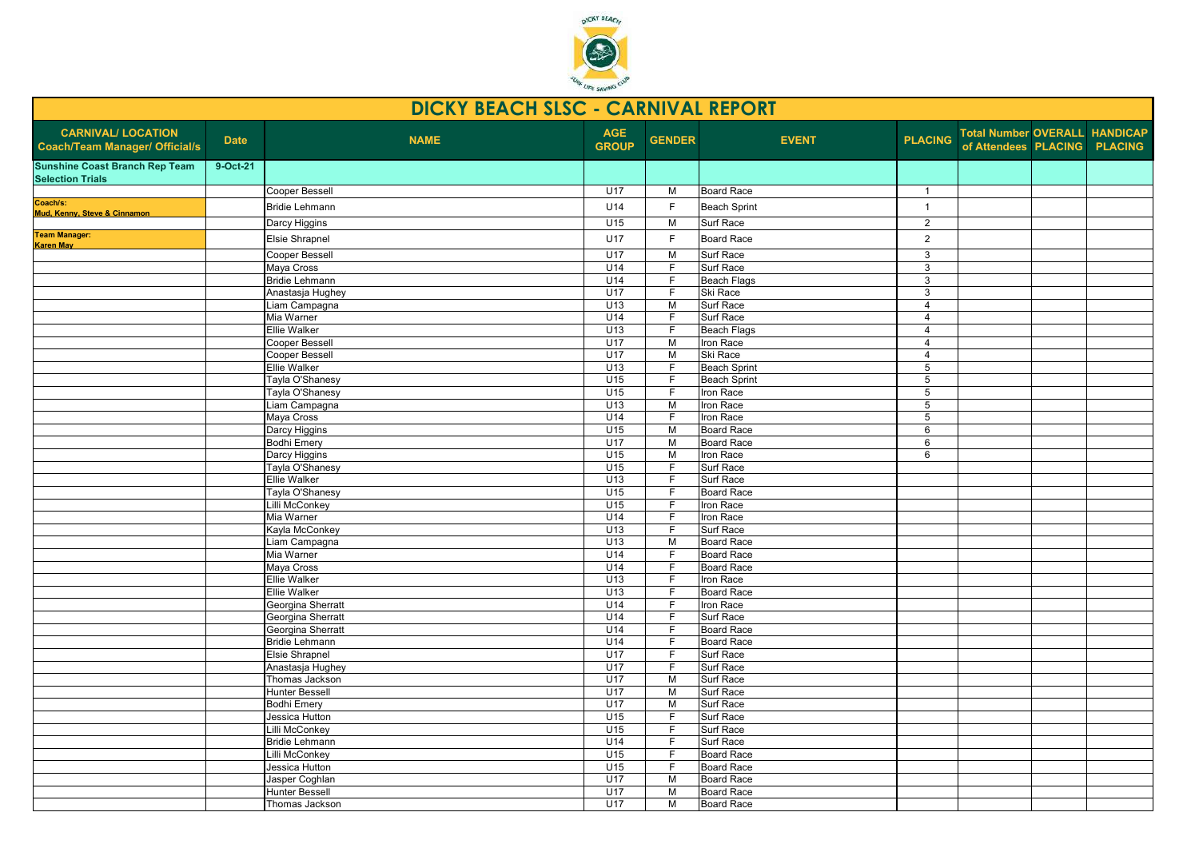

| <b>DICKY BEACH SLSC - CARNIVAL REPORT</b>                          |             |                              |                            |                               |                        |                |                                                                      |  |  |  |  |  |
|--------------------------------------------------------------------|-------------|------------------------------|----------------------------|-------------------------------|------------------------|----------------|----------------------------------------------------------------------|--|--|--|--|--|
| <b>CARNIVAL/ LOCATION</b><br><b>Coach/Team Manager/ Official/s</b> | <b>Date</b> | <b>NAME</b>                  | <b>AGE</b><br><b>GROUP</b> | <b>GENDER</b>                 | <b>EVENT</b>           | <b>PLACING</b> | <b>Total Number OVERALL HANDICAP</b><br>of Attendees PLACING PLACING |  |  |  |  |  |
| <b>Sunshine Coast Branch Rep Team</b><br><b>Selection Trials</b>   | 9-Oct-21    |                              |                            |                               |                        |                |                                                                      |  |  |  |  |  |
|                                                                    |             | <b>Cooper Bessell</b>        | U17                        | M                             | <b>Board Race</b>      | $\overline{1}$ |                                                                      |  |  |  |  |  |
| Coach/s:                                                           |             | <b>Bridie Lehmann</b>        | U14                        | F                             | <b>Beach Sprint</b>    | $\overline{1}$ |                                                                      |  |  |  |  |  |
| Mud, Kenny, Steve & Cinnamon                                       |             | Darcy Higgins                | U15                        | M                             | Surf Race              | 2              |                                                                      |  |  |  |  |  |
| <b>Team Manager:</b>                                               |             |                              |                            | $\mathsf{F}$                  |                        |                |                                                                      |  |  |  |  |  |
| <b>Karen May</b>                                                   |             | Elsie Shrapnel               | U17                        |                               | <b>Board Race</b>      | $\overline{2}$ |                                                                      |  |  |  |  |  |
|                                                                    |             | <b>Cooper Bessell</b>        | U17                        | M                             | Surf Race              | 3              |                                                                      |  |  |  |  |  |
|                                                                    |             | Maya Cross                   | U14                        | $\overline{F}$                | Surf Race              | 3              |                                                                      |  |  |  |  |  |
|                                                                    |             | <b>Bridie Lehmann</b>        | U14                        | F                             | <b>Beach Flags</b>     | 3              |                                                                      |  |  |  |  |  |
|                                                                    |             | Anastasja Hughey             | U17                        | $\overline{F}$                | Ski Race               | 3              |                                                                      |  |  |  |  |  |
|                                                                    |             | Liam Campagna                | U13                        | M                             | Surf Race              | $\overline{4}$ |                                                                      |  |  |  |  |  |
|                                                                    |             | Mia Warner                   | U14                        | $\overline{F}$                | Surf Race              | $\overline{4}$ |                                                                      |  |  |  |  |  |
|                                                                    |             | <b>Ellie Walker</b>          | U13                        | F                             | <b>Beach Flags</b>     | $\overline{4}$ |                                                                      |  |  |  |  |  |
|                                                                    |             | <b>Cooper Bessell</b>        | U17                        | M                             | Iron Race              | $\overline{4}$ |                                                                      |  |  |  |  |  |
|                                                                    |             | <b>Cooper Bessell</b>        | U17                        | $\overline{M}$                | Ski Race               | $\overline{4}$ |                                                                      |  |  |  |  |  |
|                                                                    |             | <b>Ellie Walker</b>          | U13                        | $\overline{F}$                | <b>Beach Sprint</b>    | $\overline{5}$ |                                                                      |  |  |  |  |  |
|                                                                    |             | Tayla O'Shanesy              | U15                        | $\mathsf F$                   | <b>Beach Sprint</b>    | $\sqrt{5}$     |                                                                      |  |  |  |  |  |
|                                                                    |             | Tayla O'Shanesy              | U15                        | $\overline{F}$                | Iron Race              | 5              |                                                                      |  |  |  |  |  |
|                                                                    |             | Liam Campagna                | U13                        | M                             | Iron Race              | $\overline{5}$ |                                                                      |  |  |  |  |  |
|                                                                    |             | Maya Cross                   | U14                        | $\overline{F}$                | Iron Race              | 5              |                                                                      |  |  |  |  |  |
|                                                                    |             | Darcy Higgins                | U15                        | $\overline{M}$                | <b>Board Race</b>      | 6              |                                                                      |  |  |  |  |  |
|                                                                    |             | <b>Bodhi Emery</b>           | <b>U17</b>                 | M                             | <b>Board Race</b>      | 6              |                                                                      |  |  |  |  |  |
|                                                                    |             | Darcy Higgins                | U15                        | $\overline{M}$                | Iron Race              | 6              |                                                                      |  |  |  |  |  |
|                                                                    |             | Tayla O'Shanesy              | U15                        | $\mathsf F$                   | Surf Race              |                |                                                                      |  |  |  |  |  |
|                                                                    |             | <b>Ellie Walker</b>          | U13                        | $\overline{F}$                | Surf Race              |                |                                                                      |  |  |  |  |  |
|                                                                    |             | Tayla O'Shanesy              | U15<br>U15                 | F<br>$\overline{F}$           | <b>Board Race</b>      |                |                                                                      |  |  |  |  |  |
|                                                                    |             | Lilli McConkey               | U14                        |                               | Iron Race              |                |                                                                      |  |  |  |  |  |
|                                                                    |             | Mia Warner<br>Kayla McConkey | U13                        | $\mathsf F$<br>$\overline{F}$ | Iron Race<br>Surf Race |                |                                                                      |  |  |  |  |  |
|                                                                    |             | Liam Campagna                | U13                        | M                             | <b>Board Race</b>      |                |                                                                      |  |  |  |  |  |
|                                                                    |             | Mia Warner                   | U14                        | $\overline{F}$                | <b>Board Race</b>      |                |                                                                      |  |  |  |  |  |
|                                                                    |             | Maya Cross                   | U14                        | F                             | Board Race             |                |                                                                      |  |  |  |  |  |
|                                                                    |             | Ellie Walker                 | U13                        | F                             | Iron Race              |                |                                                                      |  |  |  |  |  |
|                                                                    |             | Ellie Walker                 | U13                        | $\overline{F}$                | <b>Board Race</b>      |                |                                                                      |  |  |  |  |  |
|                                                                    |             | Georgina Sherratt            | U14                        | $\mathsf{F}$                  | Iron Race              |                |                                                                      |  |  |  |  |  |
|                                                                    |             | Georgina Sherratt            | U14                        | $\overline{F}$                | Surf Race              |                |                                                                      |  |  |  |  |  |
|                                                                    |             | Georgina Sherratt            | U14                        | F                             | Board Race             |                |                                                                      |  |  |  |  |  |
|                                                                    |             | <b>Bridie Lehmann</b>        | U14                        | F                             | <b>Board Race</b>      |                |                                                                      |  |  |  |  |  |
|                                                                    |             | Elsie Shrapnel               | U17                        | F                             | Surf Race              |                |                                                                      |  |  |  |  |  |
|                                                                    |             | Anastasja Hughey             | U17                        | $\overline{F}$                | Surf Race              |                |                                                                      |  |  |  |  |  |
|                                                                    |             | Thomas Jackson               | U17                        | $\overline{M}$                | Surf Race              |                |                                                                      |  |  |  |  |  |
|                                                                    |             | Hunter Bessell               | U17                        | M                             | Surf Race              |                |                                                                      |  |  |  |  |  |
|                                                                    |             | <b>Bodhi Emery</b>           | U17                        | M                             | Surf Race              |                |                                                                      |  |  |  |  |  |
|                                                                    |             | Jessica Hutton               | U15                        | $\overline{F}$                | Surf Race              |                |                                                                      |  |  |  |  |  |
|                                                                    |             | Lilli McConkey               | U15                        | $\overline{F}$                | Surf Race              |                |                                                                      |  |  |  |  |  |
|                                                                    |             | <b>Bridie Lehmann</b>        | U14                        | $\overline{F}$                | Surf Race              |                |                                                                      |  |  |  |  |  |
|                                                                    |             | Lilli McConkey               | U15                        | F                             | Board Race             |                |                                                                      |  |  |  |  |  |
|                                                                    |             | Jessica Hutton               | U15                        | F                             | <b>Board Race</b>      |                |                                                                      |  |  |  |  |  |
|                                                                    |             | Jasper Coghlan               | U17                        | $\overline{M}$                | <b>Board Race</b>      |                |                                                                      |  |  |  |  |  |
|                                                                    |             | <b>Hunter Bessell</b>        | U17                        | M                             | <b>Board Race</b>      |                |                                                                      |  |  |  |  |  |
|                                                                    |             | Thomas Jackson               | U17                        | $\overline{M}$                | <b>Board Race</b>      |                |                                                                      |  |  |  |  |  |